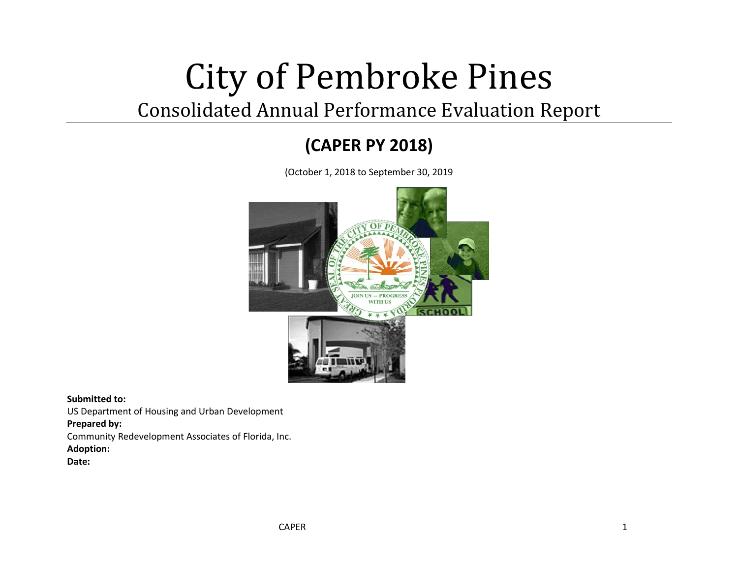# City of Pembroke Pines

# Consolidated Annual Performance Evaluation Report

# **(CAPER PY 2018)**

(October 1, 2018 to September 30, 2019



**Submitted to:**

US Department of Housing and Urban Development

#### **Prepared by:**

Community Redevelopment Associates of Florida, Inc. **Adoption:**

**Date:**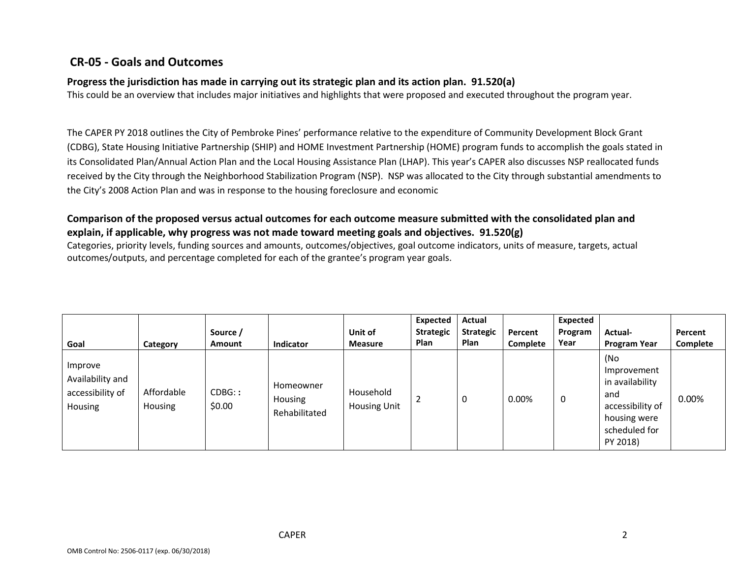# **CR-05 - Goals and Outcomes**

#### **Progress the jurisdiction has made in carrying out its strategic plan and its action plan. 91.520(a)**

This could be an overview that includes major initiatives and highlights that were proposed and executed throughout the program year.

The CAPER PY 2018 outlines the City of Pembroke Pines' performance relative to the expenditure of Community Development Block Grant (CDBG), State Housing Initiative Partnership (SHIP) and HOME Investment Partnership (HOME) program funds to accomplish the goals stated in its Consolidated Plan/Annual Action Plan and the Local Housing Assistance Plan (LHAP). This year's CAPER also discusses NSP reallocated funds received by the City through the Neighborhood Stabilization Program (NSP). NSP was allocated to the City through substantial amendments to the City's 2008 Action Plan and was in response to the housing foreclosure and economic

#### **Comparison of the proposed versus actual outcomes for each outcome measure submitted with the consolidated plan and explain, if applicable, why progress was not made toward meeting goals and objectives. 91.520(g)**

Categories, priority levels, funding sources and amounts, outcomes/objectives, goal outcome indicators, units of measure, targets, actual outcomes/outputs, and percentage completed for each of the grantee's program year goals.

| Goal                                                       | Category              | Source /<br>Amount | Indicator                             | Unit of<br><b>Measure</b>        | Expected<br><b>Strategic</b><br><b>Plan</b> | Actual<br><b>Strategic</b><br>Plan | Percent<br><b>Complete</b> | Expected<br>Program<br>Year | Actual-<br><b>Program Year</b>                                                                                | Percent<br>Complete |
|------------------------------------------------------------|-----------------------|--------------------|---------------------------------------|----------------------------------|---------------------------------------------|------------------------------------|----------------------------|-----------------------------|---------------------------------------------------------------------------------------------------------------|---------------------|
| Improve<br>Availability and<br>accessibility of<br>Housing | Affordable<br>Housing | CDBG:<br>\$0.00    | Homeowner<br>Housing<br>Rehabilitated | Household<br><b>Housing Unit</b> |                                             | 0                                  | 0.00%                      | $\mathbf 0$                 | (No<br>Improvement<br>in availability<br>and<br>accessibility of<br>housing were<br>scheduled for<br>PY 2018) | 0.00%               |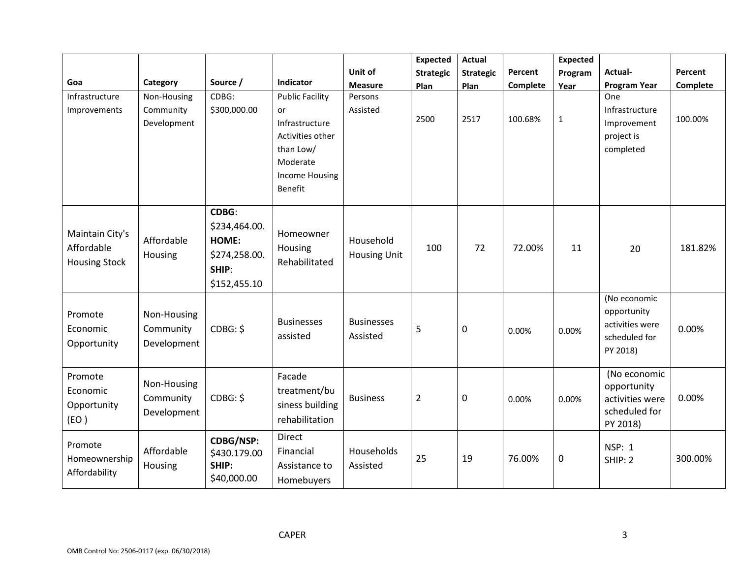|                                                       |                                         |                                                                           |                                                                                                                          |                                  | <b>Expected</b>  | <b>Actual</b>    |          | <b>Expected</b> |                                                                             |          |
|-------------------------------------------------------|-----------------------------------------|---------------------------------------------------------------------------|--------------------------------------------------------------------------------------------------------------------------|----------------------------------|------------------|------------------|----------|-----------------|-----------------------------------------------------------------------------|----------|
|                                                       |                                         |                                                                           |                                                                                                                          | Unit of                          | <b>Strategic</b> | <b>Strategic</b> | Percent  | Program         | Actual-                                                                     | Percent  |
| Goa                                                   | Category                                | Source /                                                                  | Indicator                                                                                                                | <b>Measure</b>                   | Plan             | Plan             | Complete | Year            | <b>Program Year</b>                                                         | Complete |
| Infrastructure<br>Improvements                        | Non-Housing<br>Community<br>Development | CDBG:<br>\$300,000.00                                                     | <b>Public Facility</b><br>or<br>Infrastructure<br>Activities other<br>than Low/<br>Moderate<br>Income Housing<br>Benefit | Persons<br>Assisted              | 2500             | 2517             | 100.68%  | $\mathbf 1$     | One<br>Infrastructure<br>Improvement<br>project is<br>completed             | 100.00%  |
| Maintain City's<br>Affordable<br><b>Housing Stock</b> | Affordable<br>Housing                   | CDBG:<br>\$234,464.00.<br>HOME:<br>\$274,258.00.<br>SHIP:<br>\$152,455.10 | Homeowner<br>Housing<br>Rehabilitated                                                                                    | Household<br><b>Housing Unit</b> | 100              | 72               | 72.00%   | 11              | 20                                                                          | 181.82%  |
| Promote<br>Economic<br>Opportunity                    | Non-Housing<br>Community<br>Development | CDBG: \$                                                                  | <b>Businesses</b><br>assisted                                                                                            | <b>Businesses</b><br>Assisted    | 5                | $\mathbf 0$      | 0.00%    | 0.00%           | (No economic<br>opportunity<br>activities were<br>scheduled for<br>PY 2018) | 0.00%    |
| Promote<br>Economic<br>Opportunity<br>(EO)            | Non-Housing<br>Community<br>Development | CDBG: \$                                                                  | Facade<br>treatment/bu<br>siness building<br>rehabilitation                                                              | <b>Business</b>                  | $\overline{2}$   | $\mathbf 0$      | 0.00%    | 0.00%           | (No economic<br>opportunity<br>activities were<br>scheduled for<br>PY 2018) | 0.00%    |
| Promote<br>Homeownership<br>Affordability             | Affordable<br>Housing                   | <b>CDBG/NSP:</b><br>\$430.179.00<br>SHIP:<br>\$40,000.00                  | <b>Direct</b><br>Financial<br>Assistance to<br>Homebuyers                                                                | Households<br>Assisted           | 25               | 19               | 76.00%   | 0               | <b>NSP: 1</b><br>SHIP: 2                                                    | 300.00%  |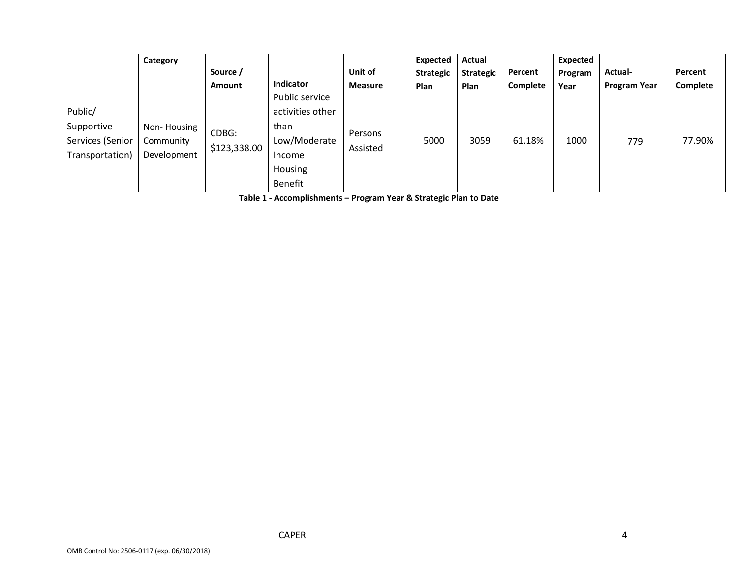|                  | Category    |              |                  |                | Expected         | Actual           |          | Expected |                     |          |
|------------------|-------------|--------------|------------------|----------------|------------------|------------------|----------|----------|---------------------|----------|
|                  |             | Source /     |                  | Unit of        | <b>Strategic</b> | <b>Strategic</b> | Percent  | Program  | Actual-             | Percent  |
|                  |             | Amount       | Indicator        | <b>Measure</b> | <b>Plan</b>      | Plan             | Complete | Year     | <b>Program Year</b> | Complete |
|                  |             |              | Public service   |                |                  |                  |          |          |                     |          |
| Public/          |             |              | activities other |                |                  |                  |          |          |                     |          |
| Supportive       | Non-Housing | CDBG:        | than             | Persons        |                  |                  |          |          |                     |          |
| Services (Senior | Community   | \$123,338.00 | Low/Moderate     | Assisted       | 5000             | 3059             | 61.18%   | 1000     | 779                 | 77.90%   |
| Transportation)  | Development |              | Income           |                |                  |                  |          |          |                     |          |
|                  |             |              | Housing          |                |                  |                  |          |          |                     |          |
|                  |             |              | Benefit          |                |                  |                  |          |          |                     |          |

**Table 1 - Accomplishments – Program Year & Strategic Plan to Date**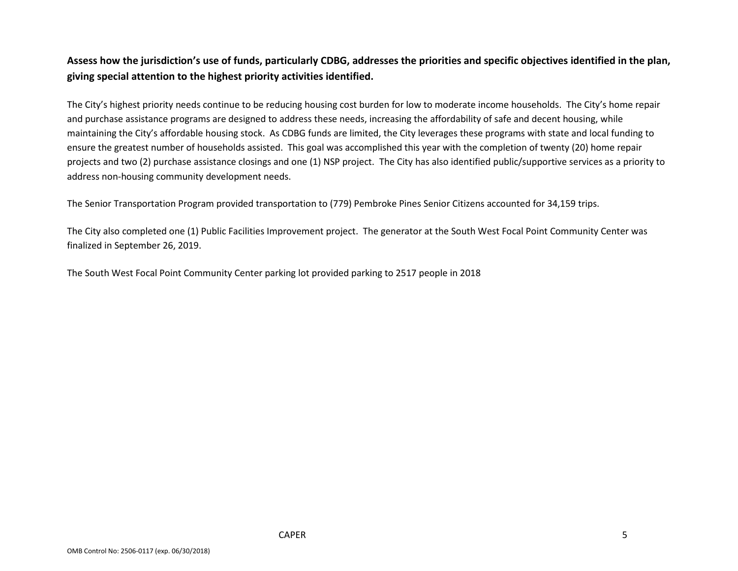### **Assess how the jurisdiction's use of funds, particularly CDBG, addresses the priorities and specific objectives identified in the plan, giving special attention to the highest priority activities identified.**

The City's highest priority needs continue to be reducing housing cost burden for low to moderate income households. The City's home repair and purchase assistance programs are designed to address these needs, increasing the affordability of safe and decent housing, while maintaining the City's affordable housing stock. As CDBG funds are limited, the City leverages these programs with state and local funding to ensure the greatest number of households assisted. This goal was accomplished this year with the completion of twenty (20) home repair projects and two (2) purchase assistance closings and one (1) NSP project. The City has also identified public/supportive services as a priority to address non-housing community development needs.

The Senior Transportation Program provided transportation to (779) Pembroke Pines Senior Citizens accounted for 34,159 trips.

The City also completed one (1) Public Facilities Improvement project. The generator at the South West Focal Point Community Center was finalized in September 26, 2019.

The South West Focal Point Community Center parking lot provided parking to 2517 people in 2018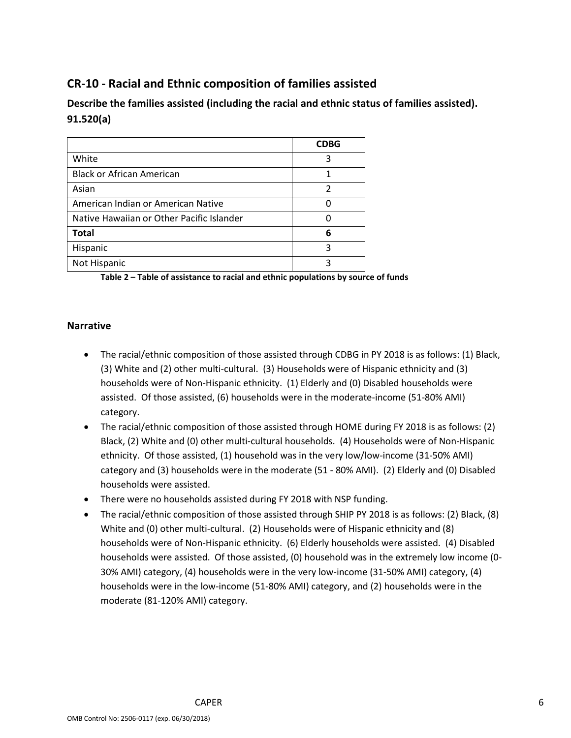# **CR-10 - Racial and Ethnic composition of families assisted**

**Describe the families assisted (including the racial and ethnic status of families assisted). 91.520(a)** 

|                                           | <b>CDBG</b> |
|-------------------------------------------|-------------|
| White                                     | 3           |
| <b>Black or African American</b>          | 1           |
| Asian                                     | 2           |
| American Indian or American Native        |             |
| Native Hawaiian or Other Pacific Islander |             |
| <b>Total</b>                              | 6           |
| Hispanic                                  | ς           |
| Not Hispanic                              |             |

**Table 2 – Table of assistance to racial and ethnic populations by source of funds**

#### **Narrative**

- The racial/ethnic composition of those assisted through CDBG in PY 2018 is as follows: (1) Black, (3) White and (2) other multi-cultural. (3) Households were of Hispanic ethnicity and (3) households were of Non-Hispanic ethnicity. (1) Elderly and (0) Disabled households were assisted. Of those assisted, (6) households were in the moderate-income (51-80% AMI) category.
- The racial/ethnic composition of those assisted through HOME during FY 2018 is as follows: (2) Black, (2) White and (0) other multi-cultural households. (4) Households were of Non-Hispanic ethnicity. Of those assisted, (1) household was in the very low/low-income (31-50% AMI) category and (3) households were in the moderate (51 - 80% AMI). (2) Elderly and (0) Disabled households were assisted.
- There were no households assisted during FY 2018 with NSP funding.
- The racial/ethnic composition of those assisted through SHIP PY 2018 is as follows: (2) Black, (8) White and (0) other multi-cultural. (2) Households were of Hispanic ethnicity and (8) households were of Non-Hispanic ethnicity. (6) Elderly households were assisted. (4) Disabled households were assisted. Of those assisted, (0) household was in the extremely low income (0- 30% AMI) category, (4) households were in the very low-income (31-50% AMI) category, (4) households were in the low-income (51-80% AMI) category, and (2) households were in the moderate (81-120% AMI) category.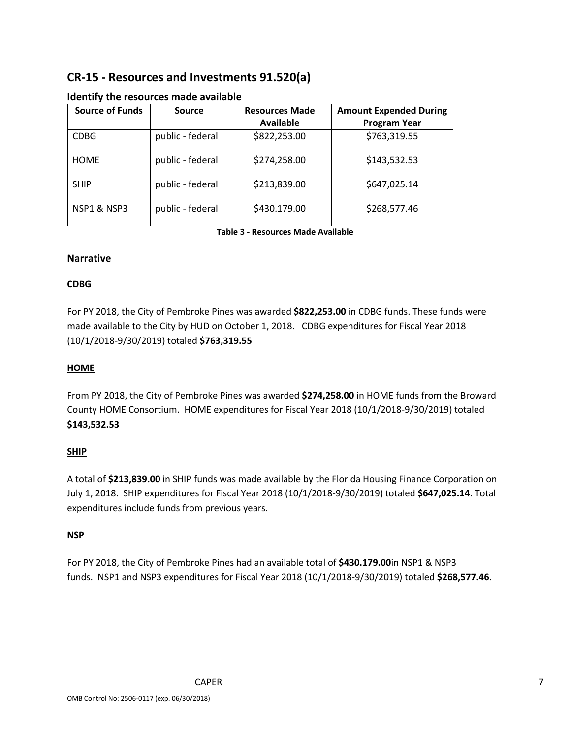# **CR-15 - Resources and Investments 91.520(a)**

| <b>Source of Funds</b> | <b>Source</b>    | <b>Resources Made</b> | <b>Amount Expended During</b> |
|------------------------|------------------|-----------------------|-------------------------------|
|                        |                  | <b>Available</b>      | <b>Program Year</b>           |
| <b>CDBG</b>            | public - federal | \$822,253.00          | \$763,319.55                  |
| <b>HOME</b>            | public - federal | \$274,258.00          | \$143,532.53                  |
| <b>SHIP</b>            | public - federal | \$213,839.00          | \$647,025.14                  |
| NSP1 & NSP3            | public - federal | \$430.179.00          | \$268,577.46                  |

#### **Identify the resources made available**

**Table 3 - Resources Made Available**

#### **Narrative**

#### **CDBG**

For PY 2018, the City of Pembroke Pines was awarded **\$822,253.00** in CDBG funds. These funds were made available to the City by HUD on October 1, 2018. CDBG expenditures for Fiscal Year 2018 (10/1/2018-9/30/2019) totaled **\$763,319.55**

#### **HOME**

From PY 2018, the City of Pembroke Pines was awarded **\$274,258.00** in HOME funds from the Broward County HOME Consortium. HOME expenditures for Fiscal Year 2018 (10/1/2018-9/30/2019) totaled **\$143,532.53**

#### **SHIP**

A total of **\$213,839.00** in SHIP funds was made available by the Florida Housing Finance Corporation on July 1, 2018. SHIP expenditures for Fiscal Year 2018 (10/1/2018-9/30/2019) totaled **\$647,025.14**. Total expenditures include funds from previous years.

#### **NSP**

For PY 2018, the City of Pembroke Pines had an available total of **\$430.179.00**in NSP1 & NSP3 funds. NSP1 and NSP3 expenditures for Fiscal Year 2018 (10/1/2018-9/30/2019) totaled **\$268,577.46**.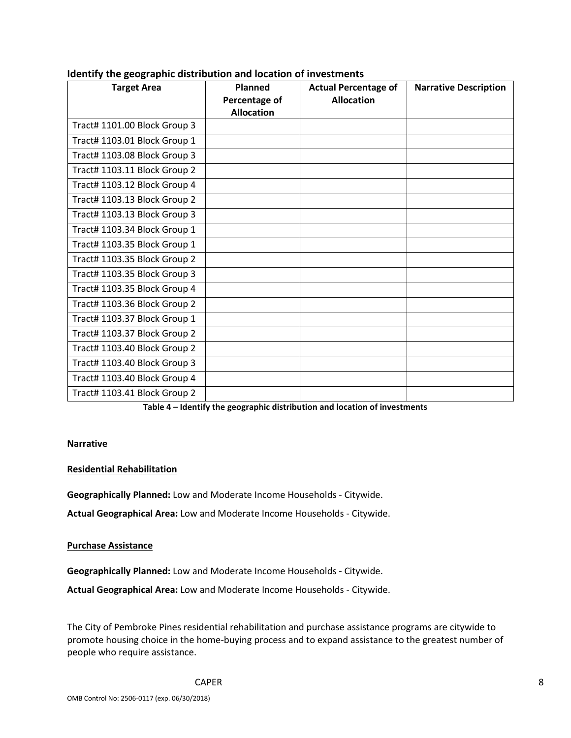| <b>Target Area</b>           | <b>Planned</b><br>Percentage of | <b>Actual Percentage of</b><br><b>Allocation</b> | <b>Narrative Description</b> |
|------------------------------|---------------------------------|--------------------------------------------------|------------------------------|
|                              | <b>Allocation</b>               |                                                  |                              |
| Tract# 1101.00 Block Group 3 |                                 |                                                  |                              |
| Tract# 1103.01 Block Group 1 |                                 |                                                  |                              |
| Tract# 1103.08 Block Group 3 |                                 |                                                  |                              |
| Tract# 1103.11 Block Group 2 |                                 |                                                  |                              |
| Tract# 1103.12 Block Group 4 |                                 |                                                  |                              |
| Tract# 1103.13 Block Group 2 |                                 |                                                  |                              |
| Tract# 1103.13 Block Group 3 |                                 |                                                  |                              |
| Tract# 1103.34 Block Group 1 |                                 |                                                  |                              |
| Tract# 1103.35 Block Group 1 |                                 |                                                  |                              |
| Tract# 1103.35 Block Group 2 |                                 |                                                  |                              |
| Tract# 1103.35 Block Group 3 |                                 |                                                  |                              |
| Tract# 1103.35 Block Group 4 |                                 |                                                  |                              |
| Tract# 1103.36 Block Group 2 |                                 |                                                  |                              |
| Tract# 1103.37 Block Group 1 |                                 |                                                  |                              |
| Tract# 1103.37 Block Group 2 |                                 |                                                  |                              |
| Tract# 1103.40 Block Group 2 |                                 |                                                  |                              |
| Tract# 1103.40 Block Group 3 |                                 |                                                  |                              |
| Tract# 1103.40 Block Group 4 |                                 |                                                  |                              |
| Tract# 1103.41 Block Group 2 |                                 |                                                  |                              |

#### **Identify the geographic distribution and location of investments**

**Table 4 – Identify the geographic distribution and location of investments**

#### **Narrative**

#### **Residential Rehabilitation**

**Geographically Planned:** Low and Moderate Income Households - Citywide.

**Actual Geographical Area:** Low and Moderate Income Households - Citywide.

#### **Purchase Assistance**

**Geographically Planned:** Low and Moderate Income Households - Citywide.

**Actual Geographical Area:** Low and Moderate Income Households - Citywide.

The City of Pembroke Pines residential rehabilitation and purchase assistance programs are citywide to promote housing choice in the home-buying process and to expand assistance to the greatest number of people who require assistance.

CAPER 8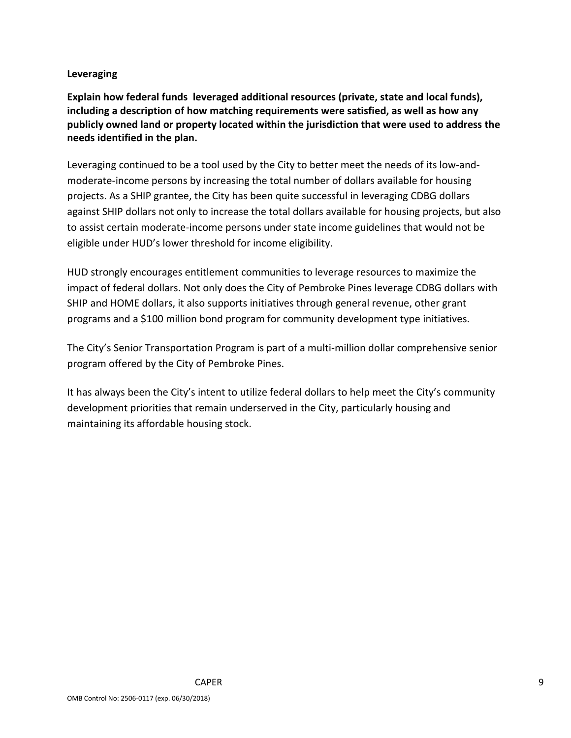#### **Leveraging**

**Explain how federal funds leveraged additional resources (private, state and local funds), including a description of how matching requirements were satisfied, as well as how any publicly owned land or property located within the jurisdiction that were used to address the needs identified in the plan.**

Leveraging continued to be a tool used by the City to better meet the needs of its low-andmoderate-income persons by increasing the total number of dollars available for housing projects. As a SHIP grantee, the City has been quite successful in leveraging CDBG dollars against SHIP dollars not only to increase the total dollars available for housing projects, but also to assist certain moderate-income persons under state income guidelines that would not be eligible under HUD's lower threshold for income eligibility.

HUD strongly encourages entitlement communities to leverage resources to maximize the impact of federal dollars. Not only does the City of Pembroke Pines leverage CDBG dollars with SHIP and HOME dollars, it also supports initiatives through general revenue, other grant programs and a \$100 million bond program for community development type initiatives.

The City's Senior Transportation Program is part of a multi-million dollar comprehensive senior program offered by the City of Pembroke Pines.

It has always been the City's intent to utilize federal dollars to help meet the City's community development priorities that remain underserved in the City, particularly housing and maintaining its affordable housing stock.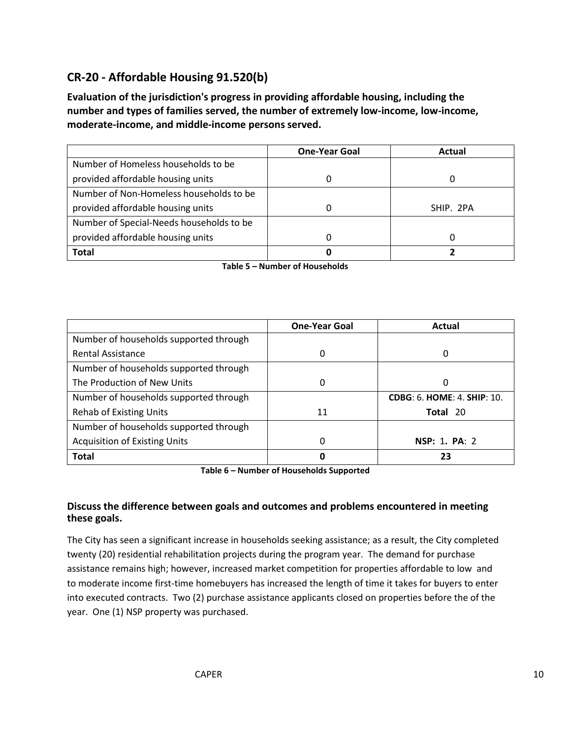# **CR-20 - Affordable Housing 91.520(b)**

**Evaluation of the jurisdiction's progress in providing affordable housing, including the number and types of families served, the number of extremely low-income, low-income, moderate-income, and middle-income persons served.**

|                                          | <b>One-Year Goal</b> | Actual    |
|------------------------------------------|----------------------|-----------|
| Number of Homeless households to be      |                      |           |
| provided affordable housing units        |                      |           |
| Number of Non-Homeless households to be  |                      |           |
| provided affordable housing units        | 0                    | SHIP. 2PA |
| Number of Special-Needs households to be |                      |           |
| provided affordable housing units        | O                    |           |
| <b>Total</b>                             | Ω                    |           |

|                                        | <b>One-Year Goal</b> | Actual                             |
|----------------------------------------|----------------------|------------------------------------|
| Number of households supported through |                      |                                    |
| <b>Rental Assistance</b>               | 0                    | O                                  |
| Number of households supported through |                      |                                    |
| The Production of New Units            | 0                    | O                                  |
| Number of households supported through |                      | <b>CDBG: 6. HOME: 4. SHIP: 10.</b> |
| <b>Rehab of Existing Units</b>         | 11                   | Total 20                           |
| Number of households supported through |                      |                                    |
| <b>Acquisition of Existing Units</b>   | 0                    | NSP: 1. PA: 2                      |
| <b>Total</b>                           | 0                    | 73                                 |

**Table 6 – Number of Households Supported**

#### **Discuss the difference between goals and outcomes and problems encountered in meeting these goals.**

The City has seen a significant increase in households seeking assistance; as a result, the City completed twenty (20) residential rehabilitation projects during the program year. The demand for purchase assistance remains high; however, increased market competition for properties affordable to low and to moderate income first-time homebuyers has increased the length of time it takes for buyers to enter into executed contracts. Two (2) purchase assistance applicants closed on properties before the of the year. One (1) NSP property was purchased.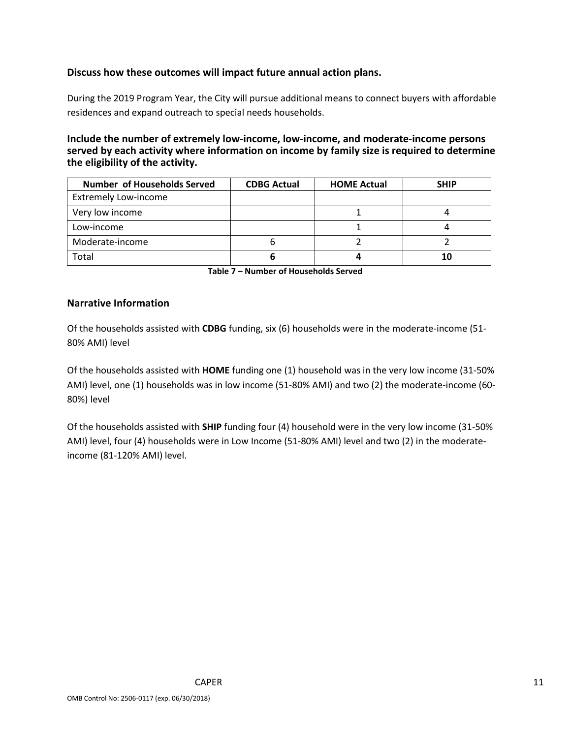#### **Discuss how these outcomes will impact future annual action plans.**

During the 2019 Program Year, the City will pursue additional means to connect buyers with affordable residences and expand outreach to special needs households.

#### **Include the number of extremely low-income, low-income, and moderate-income persons served by each activity where information on income by family size is required to determine the eligibility of the activity.**

| Number of Households Served | <b>CDBG Actual</b> | <b>HOME Actual</b> | <b>SHIP</b> |
|-----------------------------|--------------------|--------------------|-------------|
| <b>Extremely Low-income</b> |                    |                    |             |
| Very low income             |                    |                    |             |
| Low-income                  |                    |                    |             |
| Moderate-income             | О                  |                    |             |
| Total                       |                    |                    | 10          |

**Table 7 – Number of Households Served**

#### **Narrative Information**

Of the households assisted with **CDBG** funding, six (6) households were in the moderate-income (51- 80% AMI) level

Of the households assisted with **HOME** funding one (1) household was in the very low income (31-50% AMI) level, one (1) households was in low income (51-80% AMI) and two (2) the moderate-income (60- 80%) level

Of the households assisted with **SHIP** funding four (4) household were in the very low income (31-50% AMI) level, four (4) households were in Low Income (51-80% AMI) level and two (2) in the moderateincome (81-120% AMI) level.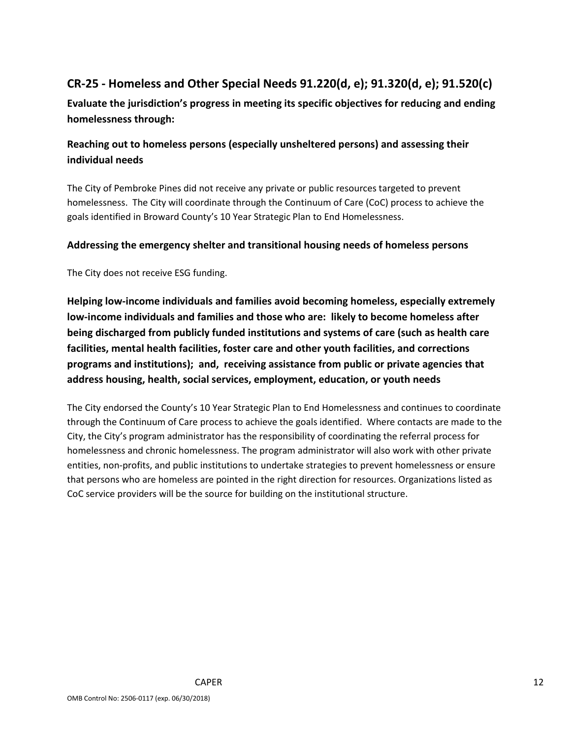# **CR-25 - Homeless and Other Special Needs 91.220(d, e); 91.320(d, e); 91.520(c)**

**Evaluate the jurisdiction's progress in meeting its specific objectives for reducing and ending homelessness through:**

# **Reaching out to homeless persons (especially unsheltered persons) and assessing their individual needs**

The City of Pembroke Pines did not receive any private or public resources targeted to prevent homelessness. The City will coordinate through the Continuum of Care (CoC) process to achieve the goals identified in Broward County's 10 Year Strategic Plan to End Homelessness.

#### **Addressing the emergency shelter and transitional housing needs of homeless persons**

The City does not receive ESG funding.

**Helping low-income individuals and families avoid becoming homeless, especially extremely low-income individuals and families and those who are: likely to become homeless after being discharged from publicly funded institutions and systems of care (such as health care facilities, mental health facilities, foster care and other youth facilities, and corrections programs and institutions); and, receiving assistance from public or private agencies that address housing, health, social services, employment, education, or youth needs**

The City endorsed the County's 10 Year Strategic Plan to End Homelessness and continues to coordinate through the Continuum of Care process to achieve the goals identified. Where contacts are made to the City, the City's program administrator has the responsibility of coordinating the referral process for homelessness and chronic homelessness. The program administrator will also work with other private entities, non-profits, and public institutions to undertake strategies to prevent homelessness or ensure that persons who are homeless are pointed in the right direction for resources. Organizations listed as CoC service providers will be the source for building on the institutional structure.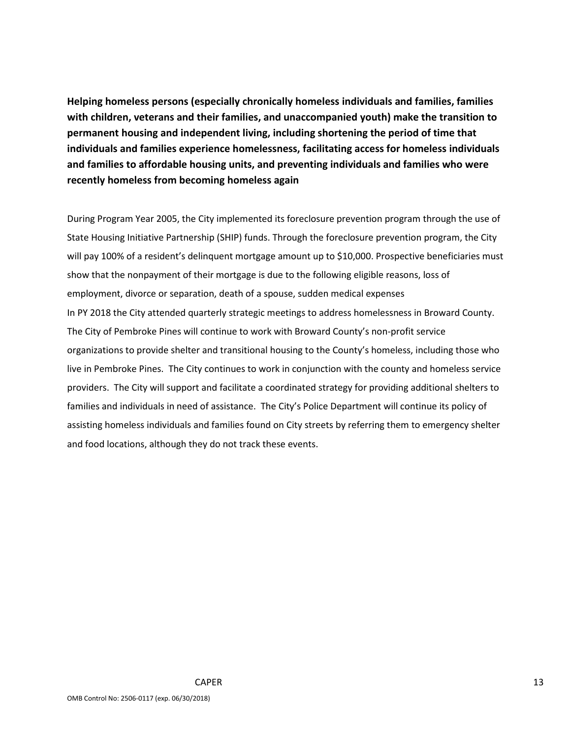**Helping homeless persons (especially chronically homeless individuals and families, families with children, veterans and their families, and unaccompanied youth) make the transition to permanent housing and independent living, including shortening the period of time that individuals and families experience homelessness, facilitating access for homeless individuals and families to affordable housing units, and preventing individuals and families who were recently homeless from becoming homeless again**

During Program Year 2005, the City implemented its foreclosure prevention program through the use of State Housing Initiative Partnership (SHIP) funds. Through the foreclosure prevention program, the City will pay 100% of a resident's delinquent mortgage amount up to \$10,000. Prospective beneficiaries must show that the nonpayment of their mortgage is due to the following eligible reasons, loss of employment, divorce or separation, death of a spouse, sudden medical expenses In PY 2018 the City attended quarterly strategic meetings to address homelessness in Broward County. The City of Pembroke Pines will continue to work with Broward County's non-profit service organizations to provide shelter and transitional housing to the County's homeless, including those who live in Pembroke Pines. The City continues to work in conjunction with the county and homeless service providers. The City will support and facilitate a coordinated strategy for providing additional shelters to families and individuals in need of assistance. The City's Police Department will continue its policy of assisting homeless individuals and families found on City streets by referring them to emergency shelter and food locations, although they do not track these events.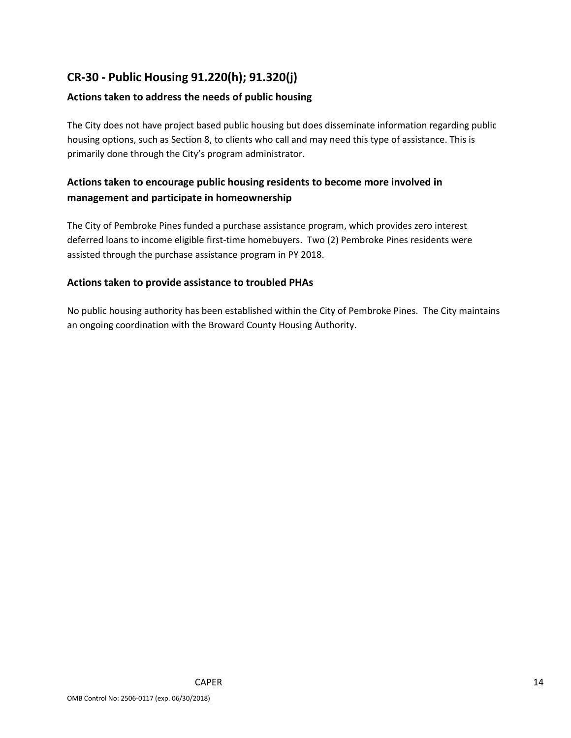# **CR-30 - Public Housing 91.220(h); 91.320(j)**

#### **Actions taken to address the needs of public housing**

The City does not have project based public housing but does disseminate information regarding public housing options, such as Section 8, to clients who call and may need this type of assistance. This is primarily done through the City's program administrator.

### **Actions taken to encourage public housing residents to become more involved in management and participate in homeownership**

The City of Pembroke Pines funded a purchase assistance program, which provides zero interest deferred loans to income eligible first-time homebuyers. Two (2) Pembroke Pines residents were assisted through the purchase assistance program in PY 2018.

#### **Actions taken to provide assistance to troubled PHAs**

No public housing authority has been established within the City of Pembroke Pines. The City maintains an ongoing coordination with the Broward County Housing Authority.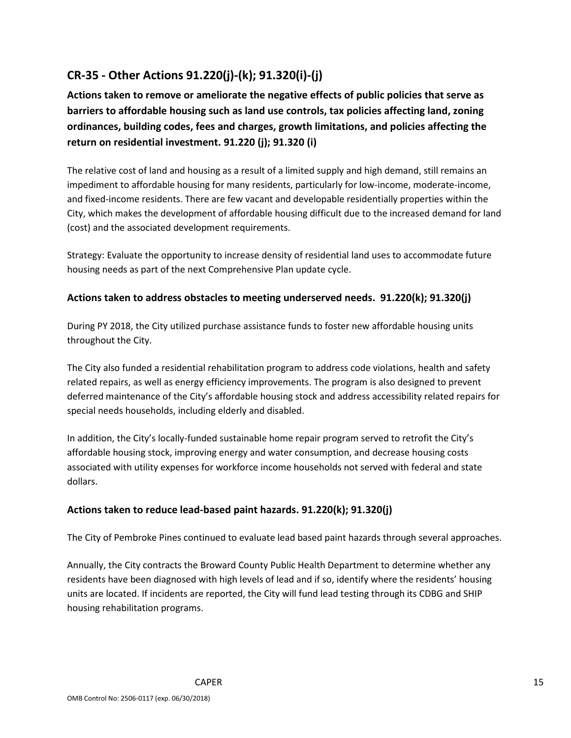# **CR-35 - Other Actions 91.220(j)-(k); 91.320(i)-(j)**

**Actions taken to remove or ameliorate the negative effects of public policies that serve as barriers to affordable housing such as land use controls, tax policies affecting land, zoning ordinances, building codes, fees and charges, growth limitations, and policies affecting the return on residential investment. 91.220 (j); 91.320 (i)**

The relative cost of land and housing as a result of a limited supply and high demand, still remains an impediment to affordable housing for many residents, particularly for low-income, moderate-income, and fixed-income residents. There are few vacant and developable residentially properties within the City, which makes the development of affordable housing difficult due to the increased demand for land (cost) and the associated development requirements.

Strategy: Evaluate the opportunity to increase density of residential land uses to accommodate future housing needs as part of the next Comprehensive Plan update cycle.

#### **Actions taken to address obstacles to meeting underserved needs. 91.220(k); 91.320(j)**

During PY 2018, the City utilized purchase assistance funds to foster new affordable housing units throughout the City.

The City also funded a residential rehabilitation program to address code violations, health and safety related repairs, as well as energy efficiency improvements. The program is also designed to prevent deferred maintenance of the City's affordable housing stock and address accessibility related repairs for special needs households, including elderly and disabled.

In addition, the City's locally-funded sustainable home repair program served to retrofit the City's affordable housing stock, improving energy and water consumption, and decrease housing costs associated with utility expenses for workforce income households not served with federal and state dollars.

#### **Actions taken to reduce lead-based paint hazards. 91.220(k); 91.320(j)**

The City of Pembroke Pines continued to evaluate lead based paint hazards through several approaches.

Annually, the City contracts the Broward County Public Health Department to determine whether any residents have been diagnosed with high levels of lead and if so, identify where the residents' housing units are located. If incidents are reported, the City will fund lead testing through its CDBG and SHIP housing rehabilitation programs.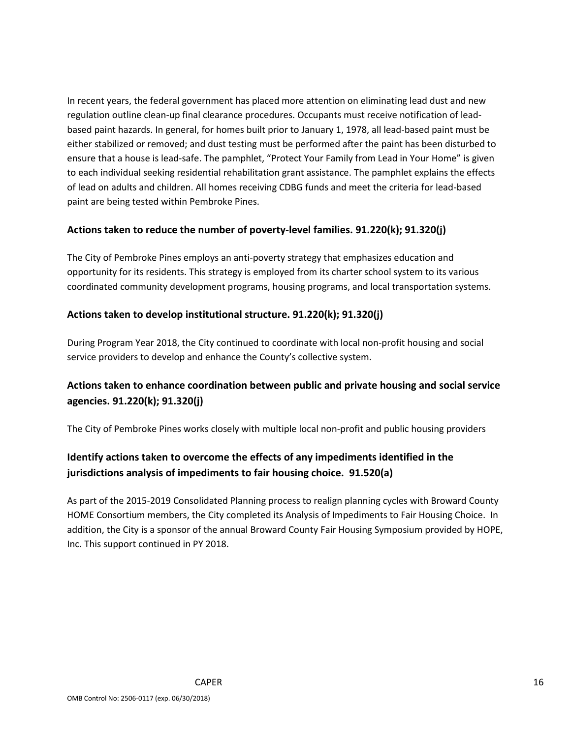In recent years, the federal government has placed more attention on eliminating lead dust and new regulation outline clean-up final clearance procedures. Occupants must receive notification of leadbased paint hazards. In general, for homes built prior to January 1, 1978, all lead-based paint must be either stabilized or removed; and dust testing must be performed after the paint has been disturbed to ensure that a house is lead-safe. The pamphlet, "Protect Your Family from Lead in Your Home" is given to each individual seeking residential rehabilitation grant assistance. The pamphlet explains the effects of lead on adults and children. All homes receiving CDBG funds and meet the criteria for lead-based paint are being tested within Pembroke Pines.

#### **Actions taken to reduce the number of poverty-level families. 91.220(k); 91.320(j)**

The City of Pembroke Pines employs an anti-poverty strategy that emphasizes education and opportunity for its residents. This strategy is employed from its charter school system to its various coordinated community development programs, housing programs, and local transportation systems.

#### **Actions taken to develop institutional structure. 91.220(k); 91.320(j)**

During Program Year 2018, the City continued to coordinate with local non-profit housing and social service providers to develop and enhance the County's collective system.

# **Actions taken to enhance coordination between public and private housing and social service agencies. 91.220(k); 91.320(j)**

The City of Pembroke Pines works closely with multiple local non-profit and public housing providers

# **Identify actions taken to overcome the effects of any impediments identified in the jurisdictions analysis of impediments to fair housing choice. 91.520(a)**

As part of the 2015-2019 Consolidated Planning process to realign planning cycles with Broward County HOME Consortium members, the City completed its Analysis of Impediments to Fair Housing Choice. In addition, the City is a sponsor of the annual Broward County Fair Housing Symposium provided by HOPE, Inc. This support continued in PY 2018.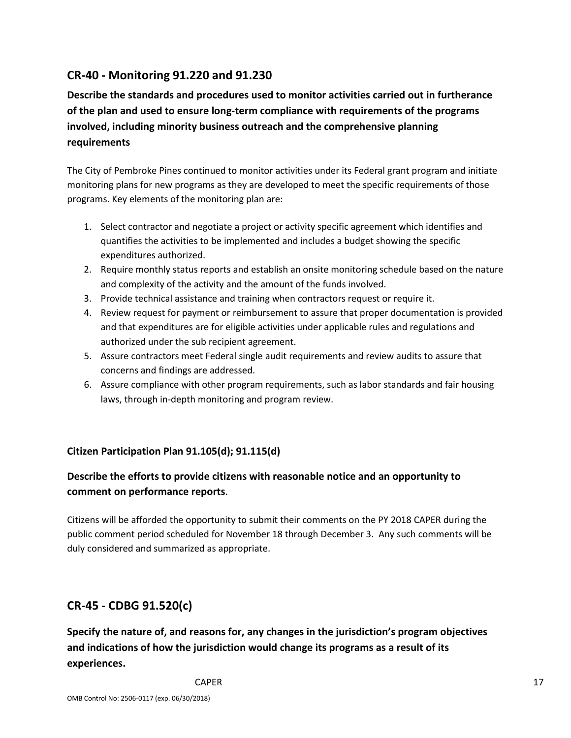# **CR-40 - Monitoring 91.220 and 91.230**

**Describe the standards and procedures used to monitor activities carried out in furtherance of the plan and used to ensure long-term compliance with requirements of the programs involved, including minority business outreach and the comprehensive planning requirements**

The City of Pembroke Pines continued to monitor activities under its Federal grant program and initiate monitoring plans for new programs as they are developed to meet the specific requirements of those programs. Key elements of the monitoring plan are:

- 1. Select contractor and negotiate a project or activity specific agreement which identifies and quantifies the activities to be implemented and includes a budget showing the specific expenditures authorized.
- 2. Require monthly status reports and establish an onsite monitoring schedule based on the nature and complexity of the activity and the amount of the funds involved.
- 3. Provide technical assistance and training when contractors request or require it.
- 4. Review request for payment or reimbursement to assure that proper documentation is provided and that expenditures are for eligible activities under applicable rules and regulations and authorized under the sub recipient agreement.
- 5. Assure contractors meet Federal single audit requirements and review audits to assure that concerns and findings are addressed.
- 6. Assure compliance with other program requirements, such as labor standards and fair housing laws, through in-depth monitoring and program review.

#### **Citizen Participation Plan 91.105(d); 91.115(d)**

# **Describe the efforts to provide citizens with reasonable notice and an opportunity to comment on performance reports**.

Citizens will be afforded the opportunity to submit their comments on the PY 2018 CAPER during the public comment period scheduled for November 18 through December 3. Any such comments will be duly considered and summarized as appropriate.

# **CR-45 - CDBG 91.520(c)**

**Specify the nature of, and reasons for, any changes in the jurisdiction's program objectives and indications of how the jurisdiction would change its programs as a result of its experiences.**

CAPER 27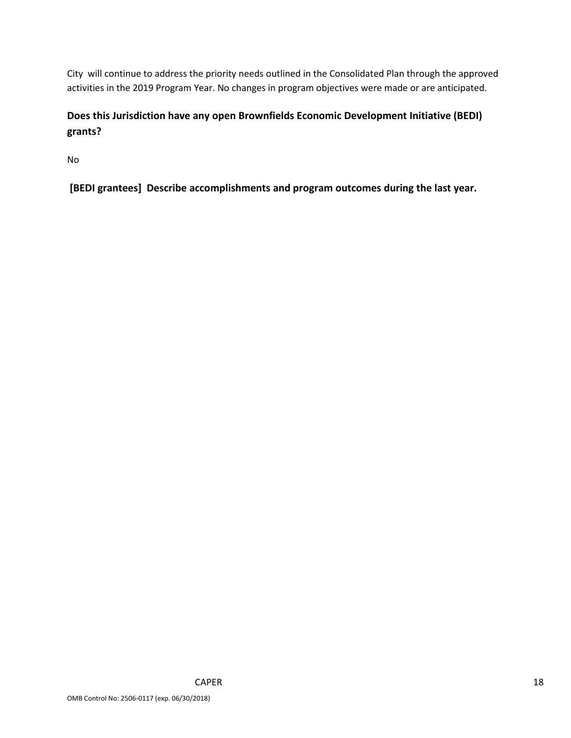City will continue to address the priority needs outlined in the Consolidated Plan through the approved activities in the 2019 Program Year. No changes in program objectives were made or are anticipated.

# **Does this Jurisdiction have any open Brownfields Economic Development Initiative (BEDI) grants?**

No

**[BEDI grantees] Describe accomplishments and program outcomes during the last year.**